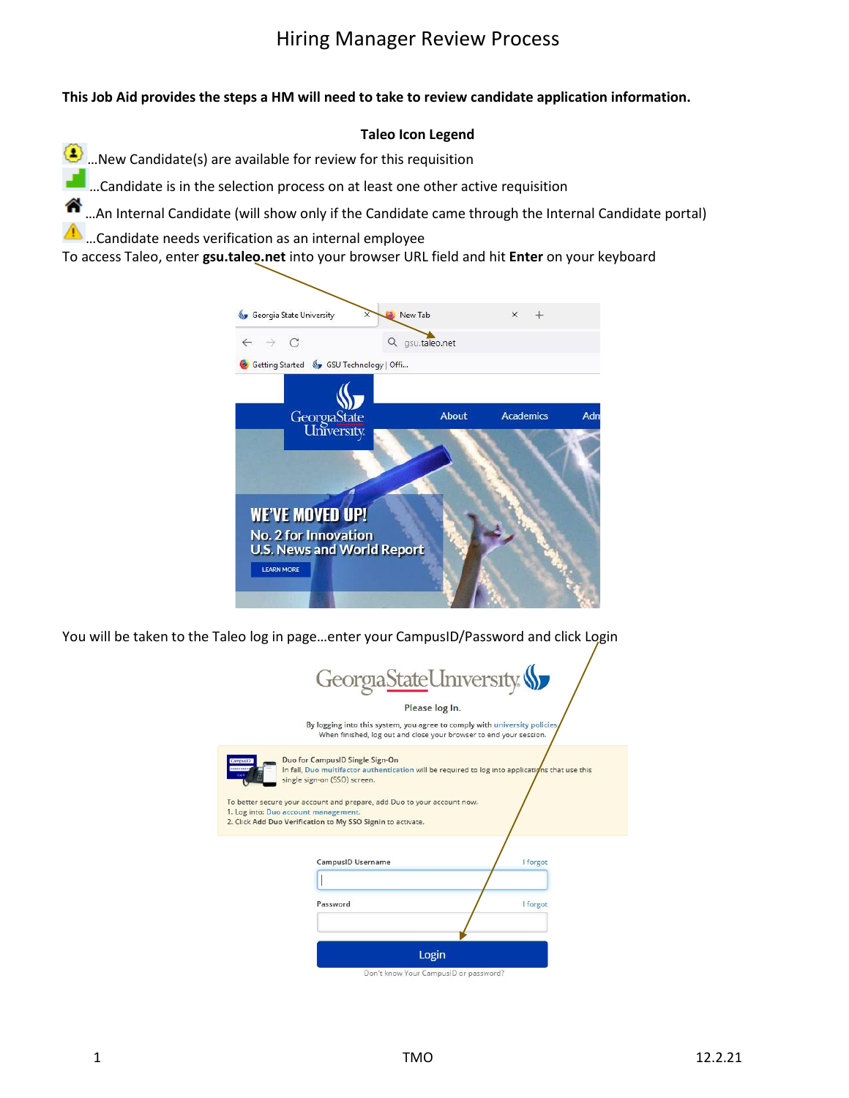### **This Job Aid provides the steps a HM will need to take to review candidate application information.**

#### **Taleo Icon Legend**

- …New Candidate(s) are available for review for this requisition
- …Candidate is in the selection process on at least one other active requisition
- …An Internal Candidate (will show only if the Candidate came through the Internal Candidate portal)
- …Candidate needs verification as an internal employee

To access Taleo, enter **gsu.taleo.net** into your browser URL field and hit **Enter** on your keyboard



You will be taken to the Taleo log in page...enter your CampusID/Password and click Login

| Georgia State University<br>Please log In.<br>By logging into this system, you agree to comply with university policies,<br>When finished, log out and close your browser to end your session.                                                                                                                                                                                |
|-------------------------------------------------------------------------------------------------------------------------------------------------------------------------------------------------------------------------------------------------------------------------------------------------------------------------------------------------------------------------------|
| Duo for CampusID Single Sign-On<br>CampusID<br>In fall, Duo multifactor authentication will be required to log into applications that use this<br>,,,,,,,,,<br>single sign-on (SSO) screen.<br>To better secure your account and prepare, add Duo to your account now.<br>1. Log into: Duo account management.<br>2. Click Add Duo Verification to My SSO Signin to activate. |
| <b>CampusID Username</b><br>I forgot<br>I forgot<br>Password<br>Login<br>Don't know Your CampusID or password?                                                                                                                                                                                                                                                                |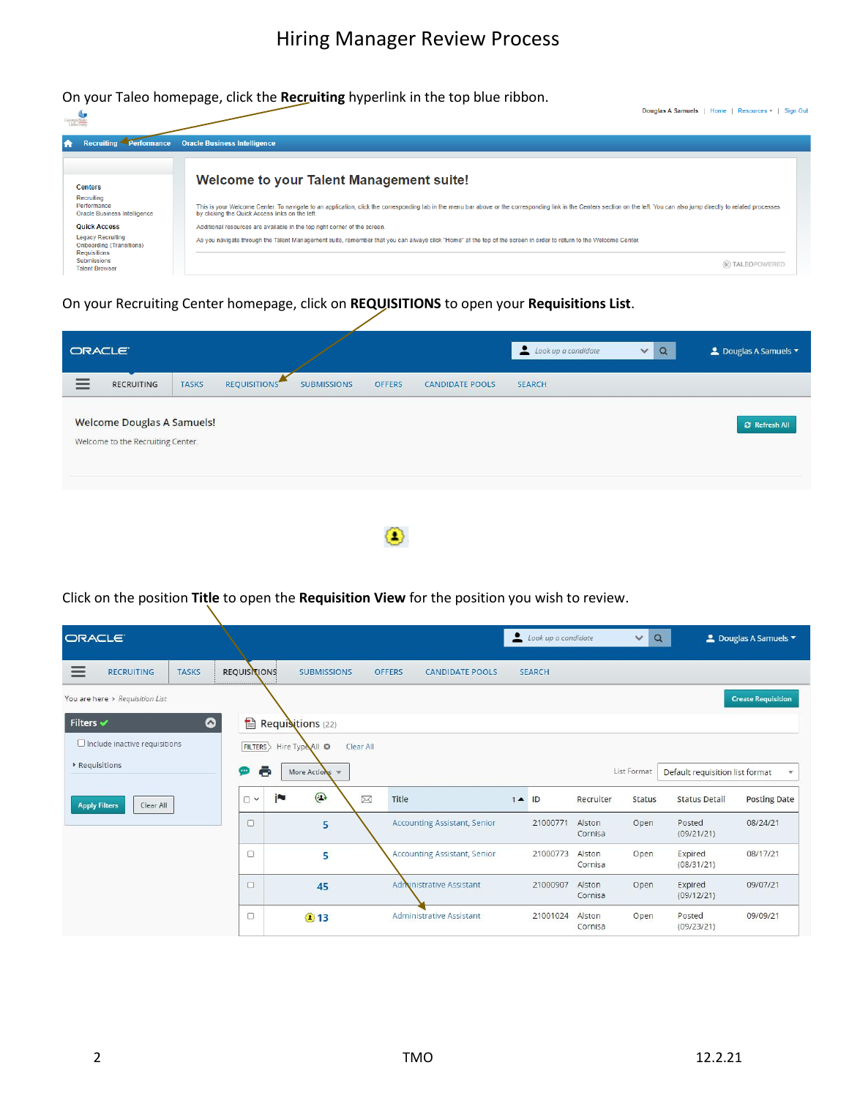On your Taleo homepage, click the **Recruiting** hyperlink in the top blue ribbon.



## On your Recruiting Center homepage, click on **REQUISITIONS** to open your **Requisitions List**.

| <b>ORACLE</b> |                                                                        |              |                     |                    |               |                        | Look up a candidate | Q<br>$\vee$ | <b>2</b> Douglas A Samuels ▼ |
|---------------|------------------------------------------------------------------------|--------------|---------------------|--------------------|---------------|------------------------|---------------------|-------------|------------------------------|
| $\equiv$      | <b>RECRUITING</b>                                                      | <b>TASKS</b> | <b>REQUISITIONS</b> | <b>SUBMISSIONS</b> | <b>OFFERS</b> | <b>CANDIDATE POOLS</b> | <b>SEARCH</b>       |             |                              |
|               | <b>Welcome Douglas A Samuels!</b><br>Welcome to the Recruiting Center. |              |                     |                    |               |                        |                     |             | <b>C</b> Refresh All         |
|               |                                                                        |              |                     |                    |               |                        |                     |             |                              |

⊙



| ORACLE <sup>®</sup>                  |              |                     |                             |                                         | $\overline{\mathbf{z}}$ | Look up a candidate |                   | $\alpha$<br>$\checkmark$ |                                 | $\triangle$ Douglas A Samuels $\blacktriangledown$ |
|--------------------------------------|--------------|---------------------|-----------------------------|-----------------------------------------|-------------------------|---------------------|-------------------|--------------------------|---------------------------------|----------------------------------------------------|
| ≡<br><b>RECRUITING</b>               | <b>TASKS</b> | <b>REQUISITIONS</b> | <b>SUBMISSIONS</b>          | <b>OFFERS</b><br><b>CANDIDATE POOLS</b> |                         | <b>SEARCH</b>       |                   |                          |                                 |                                                    |
| You are here > Requisition List      |              |                     |                             |                                         |                         |                     |                   |                          |                                 | <b>Create Requisition</b>                          |
| Filters $\checkmark$                 | ◕            | 目                   | Requisitions (22)           |                                         |                         |                     |                   |                          |                                 |                                                    |
| $\Box$ Include inactive requisitions |              | <b>FILTERS</b>      | Hire TypeAll O<br>Clear All |                                         |                         |                     |                   |                          |                                 |                                                    |
| ▶ Requisitions                       |              | ē<br>⊕              | More Actions W              |                                         |                         |                     |                   | List Format              | Default requisition list format | $\mathbf{v}$                                       |
| <b>Apply Filters</b><br>Clear All    |              | $\square$ $\vee$    | $\bigoplus$<br><b>i b</b>   | $\boxtimes$<br>Title                    | $1 -$                   | $\blacksquare$      | Recruiter         | <b>Status</b>            | <b>Status Detail</b>            | <b>Posting Date</b>                                |
|                                      |              | $\Box$              | 5                           | <b>Accounting Assistant, Senior</b>     |                         | 21000771            | Alston<br>Cornisa | Open                     | Posted<br>(09/21/21)            | 08/24/21                                           |
|                                      |              | $\Box$              | 5                           | Accounting Assistant, Senior            |                         | 21000773            | Alston<br>Cornisa | Open                     | Expired<br>(08/31/21)           | 08/17/21                                           |
|                                      |              | $\Box$              | 45                          | Administrative Assistant                |                         | 21000907            | Alston<br>Cornisa | Open                     | Expired<br>(09/12/21)           | 09/07/21                                           |
|                                      |              | $\Box$              | $\bigcirc$ 13               | Administrative Assistant                |                         | 21001024            | Alston<br>Cornisa | Open                     | Posted<br>(09/23/21)            | 09/09/21                                           |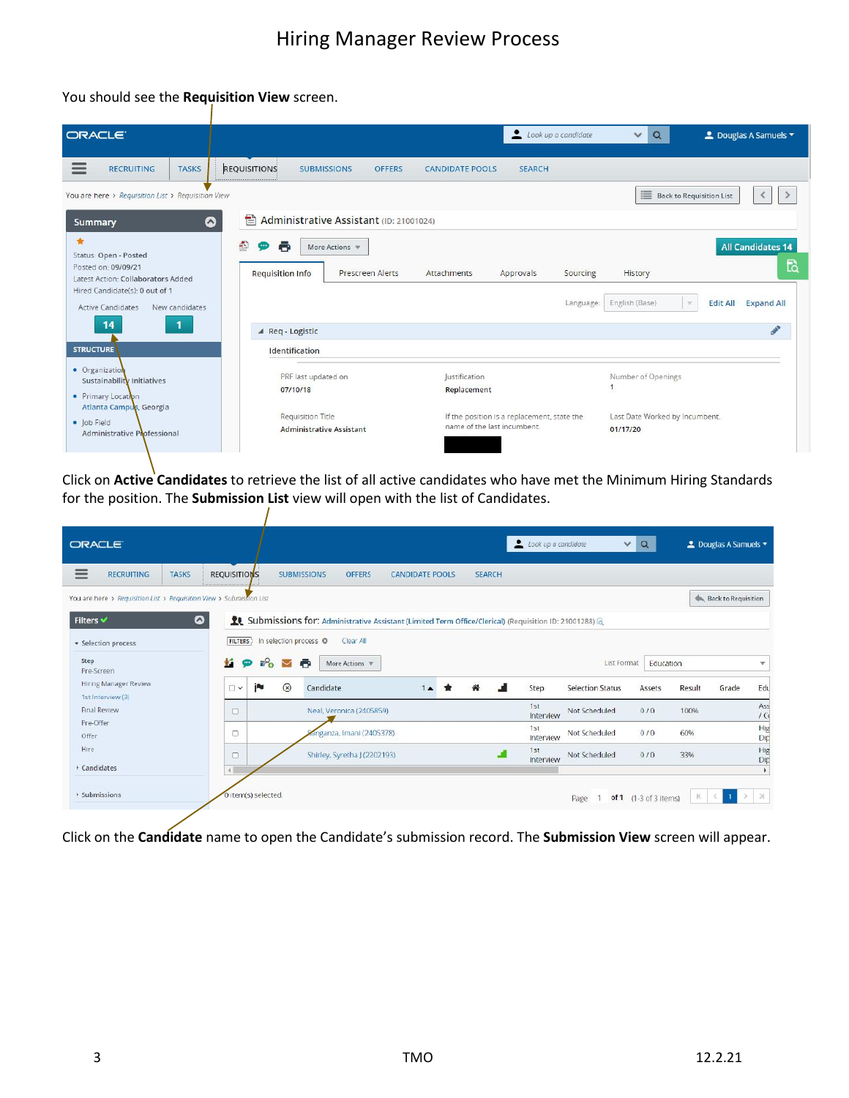### You should see the **Requisition View** screen.

 $\prime$ 

| ORACLE <sup>®</sup>                                                          |                                                             | Look up a candidate                                                        | $\alpha$<br>■ Douglas A Samuels<br>$\checkmark$                                      |
|------------------------------------------------------------------------------|-------------------------------------------------------------|----------------------------------------------------------------------------|--------------------------------------------------------------------------------------|
| <b>RECRUITING</b><br><b>TASKS</b><br>$=$                                     | <b>REQUISITIONS</b><br><b>SUBMISSIONS</b><br><b>OFFERS</b>  | <b>CANDIDATE POOLS</b><br><b>SEARCH</b>                                    |                                                                                      |
| You are here > Requisition List > Requisition View                           |                                                             |                                                                            | 這<br><b>Back to Requisition List</b><br>∢                                            |
| ◎<br><b>Summary</b>                                                          | Administrative Assistant (ID: 21001024)                     |                                                                            |                                                                                      |
| $\star$<br>Status: Open - Posted                                             | ଈ<br>e<br>m.<br>More Actions                                |                                                                            | <b>All Candidates 14</b>                                                             |
| Posted on: 09/09/21<br>Latest Action: Collaborators Added                    | <b>Requisition Info</b><br><b>Prescreen Alerts</b>          | Attachments<br>Approvals                                                   | <b>Q</b><br>Sourcing<br>History                                                      |
| Hired Candidate(s): 0 out of 1<br><b>Active Candidates</b><br>New candidates |                                                             |                                                                            | <b>Edit All</b><br><b>Expand All</b><br>English (Base)<br>$\mathcal{L}$<br>Language: |
| 14                                                                           | ▲ Req - Logistic                                            |                                                                            | P                                                                                    |
| <b>STRUCTURE</b>                                                             | Identification                                              |                                                                            |                                                                                      |
| • Organization<br>Sustainability Initiatives<br>• Primary Location           | PRF last updated on<br>07/10/18                             | Justification<br>Replacement                                               | Number of Openings<br>$\mathbf{1}$                                                   |
| Atlanta Campus, Georgia<br>· Job Field<br>Administrative Phofessional        | <b>Requisition Title</b><br><b>Administrative Assistant</b> | If the position is a replacement, state the<br>name of the last incumbent. | Last Date Worked by Incumbent.<br>01/17/20                                           |
|                                                                              |                                                             |                                                                            |                                                                                      |

Click on **Active Candidates** to retrieve the list of all active candidates who have met the Minimum Hiring Standards for the position. The **Submission List** view will open with the list of Candidates.

| <b>ORACLE</b>                                                        |                                    |                                                                                                                   |                        |               | Look up a candidate | $\checkmark$            | $\alpha$                     |        | $\triangle$ Douglas A Samuels $\blacktriangleright$ |              |
|----------------------------------------------------------------------|------------------------------------|-------------------------------------------------------------------------------------------------------------------|------------------------|---------------|---------------------|-------------------------|------------------------------|--------|-----------------------------------------------------|--------------|
| <b>RECRUITING</b><br><b>TASKS</b><br>$=$                             | <b>REQUISITIONS</b>                | <b>SUBMISSIONS</b><br><b>OFFERS</b>                                                                               | <b>CANDIDATE POOLS</b> | <b>SEARCH</b> |                     |                         |                              |        |                                                     |              |
| You are here > Requisition List > Requisition View > Submission List |                                    |                                                                                                                   |                        |               |                     |                         |                              |        | Back to Requisition                                 |              |
| ◎<br>Filters v                                                       |                                    | 10: 21001288) Submissions for: Administrative Assistant (Limited Term Office/Clerical) (Requisition ID: 21001288) |                        |               |                     |                         |                              |        |                                                     |              |
| · Selection process                                                  | FILTERS                            | In selection process @<br>Clear All                                                                               |                        |               |                     |                         |                              |        |                                                     |              |
| Step<br>Pre-Screen                                                   | ¢.<br>$P_{\alpha}$<br>⊕            | ō<br>More Actions $\sqrt{\ }$                                                                                     |                        |               |                     | List Format             | Education                    |        |                                                     | $\mathbf{v}$ |
| Hiring Manager Review<br>1st Interview (3)                           | jN<br>U v                          | $\circledR$<br>Candidate                                                                                          | $1 -$                  |               | Step                | <b>Selection Status</b> | Assets                       | Result | Grade                                               | Edu          |
| Final Review                                                         | $\Box$                             | Neal, Veronica (2405859)                                                                                          |                        |               | 1st<br>Interview    | Not Scheduled           | 0/0                          | 100%   |                                                     | Ass<br>1C    |
| Pre-Offer<br>Offer                                                   | $\Box$                             | nganza, Imani (2405378)                                                                                           |                        |               | 1st<br>Interview    | Not Scheduled           | 0/0                          | 60%    |                                                     | Hig<br>Dip   |
| Hire                                                                 | O                                  | Shirley, Syretha J (2202193)                                                                                      |                        |               | 1st<br>Interview    | Not Scheduled           | 0/0                          | 33%    |                                                     | Hig<br>Dip   |
| Candidates                                                           | $\left\langle \cdot \right\rangle$ |                                                                                                                   |                        |               |                     |                         |                              |        |                                                     | ¥            |
| > Submissions                                                        | 0 item(s) selected.                |                                                                                                                   |                        |               |                     | Page                    | of $1$ $(1-3)$ of $3$ items) | ĸ      |                                                     |              |

Click on the **Candidate** name to open the Candidate's submission record. The **Submission View** screen will appear.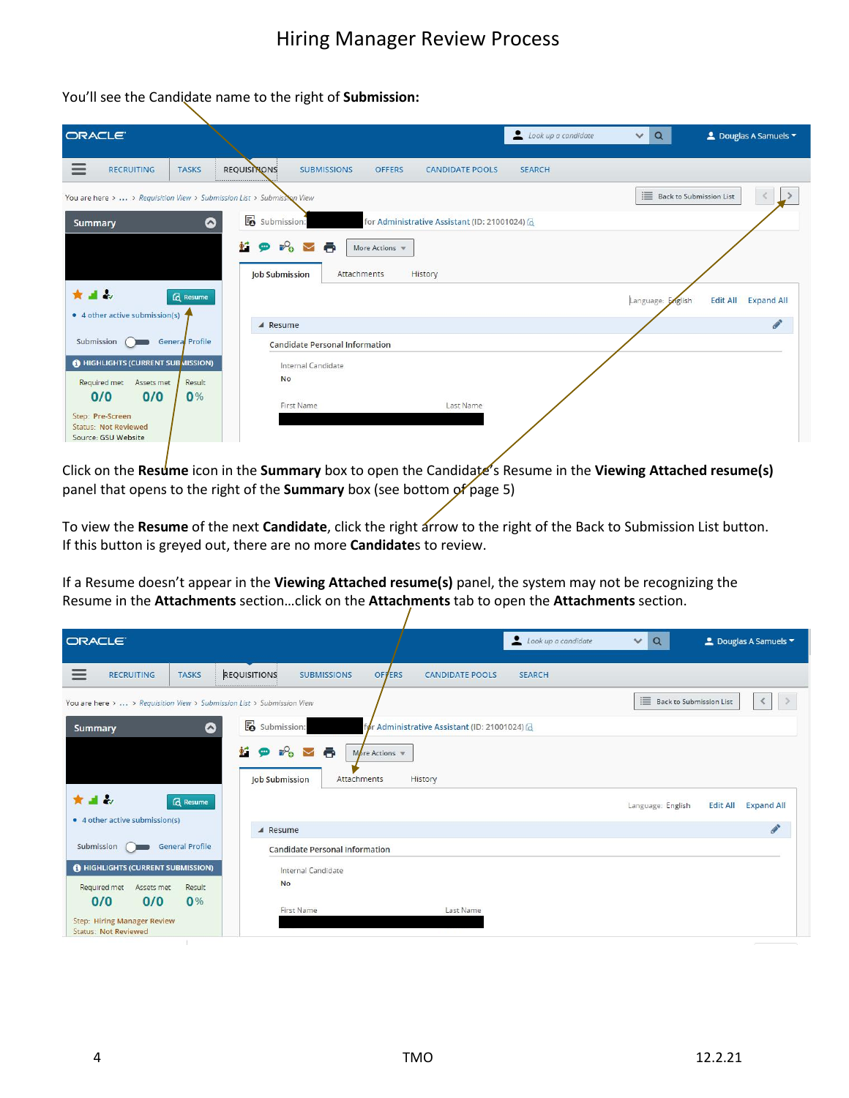

You'll see the Candidate name to the right of **Submission:**

Click on the **Resume** icon in the **Summary** box to open the Candidate's Resume in the **Viewing Attached resume(s)** panel that opens to the right of the **Summary** box (see bottom of page 5)

To view the **Resume** of the next **Candidate**, click the right arrow to the right of the Back to Submission List button. If this button is greyed out, there are no more **Candidate**s to review.

If a Resume doesn't appear in the **Viewing Attached resume(s)** panel, the system may not be recognizing the Resume in the **Attachments** section…click on the **Attachments** tab to open the **Attachments** section.

| <b>ORACLE</b>                                                                         |                                                                                                                     | Look up a candidate | $\alpha$<br>$\vee$      | $\triangle$ Douglas A Samuels $\blacktriangledown$ |
|---------------------------------------------------------------------------------------|---------------------------------------------------------------------------------------------------------------------|---------------------|-------------------------|----------------------------------------------------|
| <b>RECRUITING</b><br><b>TASKS</b><br>$=$                                              | <b>REQUISITIONS</b><br><b>SUBMISSIONS</b><br><b>CANDIDATE POOLS</b><br><b>OFFERS</b>                                | <b>SEARCH</b>       |                         |                                                    |
| You are here >  > Requisition View > Submission List > Submission View                |                                                                                                                     |                     | Back to Submission List | $\leq$<br>$\rightarrow$                            |
| ۵<br><b>Summary</b>                                                                   | <b>E</b> Submission:<br>for Administrative Assistant (ID: 21001024) @                                               |                     |                         |                                                    |
| * 4 2<br><b>Q</b> Resume                                                              | $\mathcal{P}_{\mathbf{c}}$<br>ō<br>М<br>œ<br>More Actions $\Psi$<br>Job Submission<br><b>Attachments</b><br>History |                     | Language: English       | <b>Edit All</b><br><b>Expand All</b>               |
| • 4 other active submission(s)                                                        | $\triangle$ Resume                                                                                                  |                     |                         | $\mathscr{E}$                                      |
| <b>General Profile</b><br>Submission                                                  | <b>Candidate Personal Information</b>                                                                               |                     |                         |                                                    |
| <b>O</b> HIGHLIGHTS (CURRENT SUBMISSION)<br>Required met<br>Assets met<br>Result      | Internal Candidate<br><b>No</b>                                                                                     |                     |                         |                                                    |
| 0/0<br>0%<br>0/0<br><b>Step: Hiring Manager Review</b><br><b>Status: Not Reviewed</b> | First Name<br>Last Name                                                                                             |                     |                         |                                                    |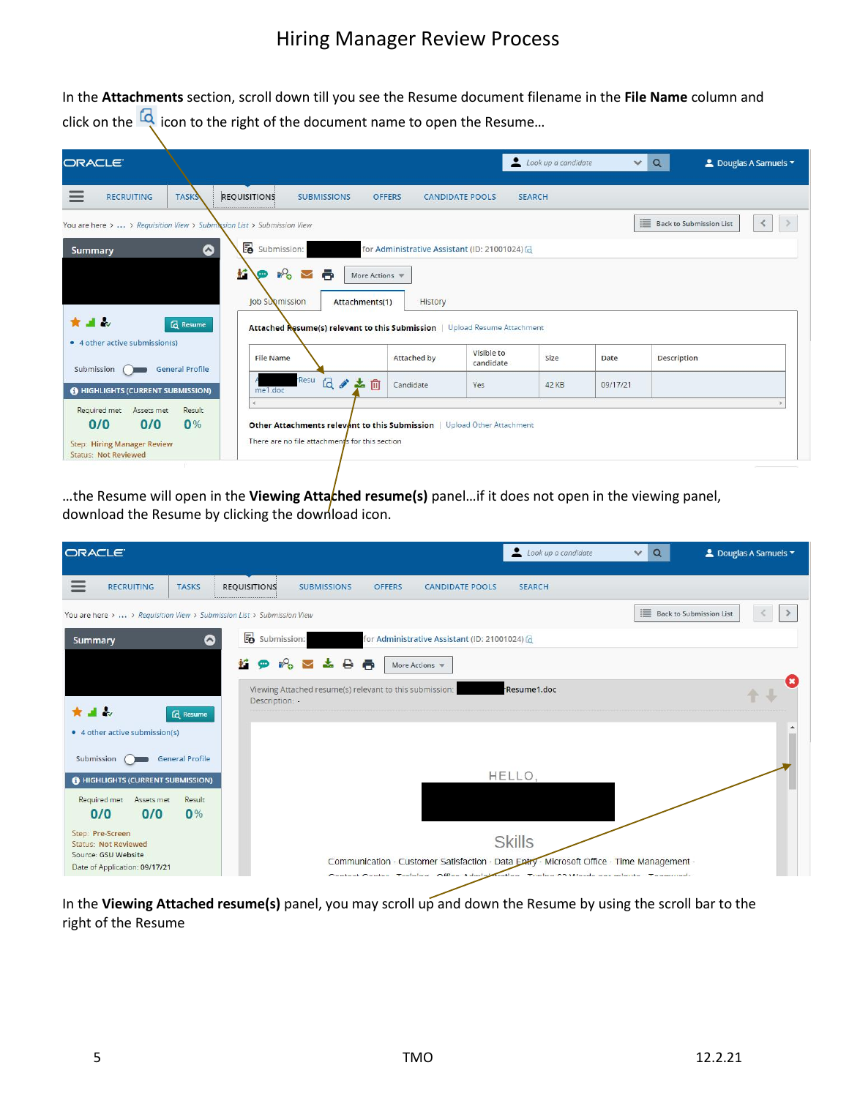In the **Attachments** section, scroll down till you see the Resume document filename in the **File Name** column and click on the  $\frac{d}{d}$  icon to the right of the document name to open the Resume...

| <b>ORACLE</b>     |                                                                   |                        |                                                                        |                                                                           |                         | Look up a candidate<br>$\alpha$<br>■ Douglas A Samuels<br>$\checkmark$ |          |                                     |   |  |
|-------------------|-------------------------------------------------------------------|------------------------|------------------------------------------------------------------------|---------------------------------------------------------------------------|-------------------------|------------------------------------------------------------------------|----------|-------------------------------------|---|--|
| $=$               | <b>RECRUITING</b>                                                 | <b>TASKS</b>           | <b>REQUISITIONS</b><br><b>SUBMISSIONS</b>                              | <b>OFFERS</b>                                                             | <b>CANDIDATE POOLS</b>  | <b>SEARCH</b>                                                          |          |                                     |   |  |
|                   |                                                                   |                        | You are here >  > Requisition View > Submission List > Submission View |                                                                           |                         |                                                                        |          | 這<br><b>Back to Submission List</b> | ≺ |  |
| <b>Summary</b>    |                                                                   | ◎                      | Submission:                                                            | for Administrative Assistant (ID: 21001024)                               |                         |                                                                        |          |                                     |   |  |
|                   |                                                                   |                        | $\mathcal{P}_{\bullet}$<br>ŧ.<br>e<br>$\sim$                           | More Actions v                                                            |                         |                                                                        |          |                                     |   |  |
|                   |                                                                   |                        | Job Submission                                                         | Attachments(1)<br>History                                                 |                         |                                                                        |          |                                     |   |  |
| $\star$ at $\sim$ |                                                                   | <b>Q</b> Resume        |                                                                        | Attached Resume(s) relevant to this Submission   Upload Resume Attachment |                         |                                                                        |          |                                     |   |  |
|                   | • 4 other active submission(s)                                    |                        |                                                                        |                                                                           |                         |                                                                        |          |                                     |   |  |
| Submission        |                                                                   | <b>General Profile</b> | <b>File Name</b>                                                       | Attached by                                                               | Visible to<br>candidate | Size                                                                   | Date     | Description                         |   |  |
|                   | HIGHLIGHTS (CURRENT SUBMISSION)                                   |                        | Resu<br>me1.doc                                                        | 日子之间<br>Candidate                                                         | Yes                     | 42 KB                                                                  | 09/17/21 |                                     |   |  |
|                   | Required met<br>Assets met                                        | Result                 | ×.                                                                     |                                                                           |                         |                                                                        |          |                                     |   |  |
|                   | 0/0<br>0/0                                                        | 0%                     |                                                                        | Other Attachments relevant to this Submission   Upload Other Attachment   |                         |                                                                        |          |                                     |   |  |
|                   | <b>Step: Hiring Manager Review</b><br><b>Status: Not Reviewed</b> |                        | There are no file attachments for this section                         |                                                                           |                         |                                                                        |          |                                     |   |  |

…the Resume will open in the **Viewing Atta***ched resume(s)* panel…if it does not open in the viewing panel, download the Resume by clicking the download icon.

| <b>ORACLE</b>    |                                                      |                        |                                                                        |                                                         |               |                                               | Look up a candidate                                                                                                                                                                | $\alpha$<br>$\checkmark$ | <b>■</b> Douglas A Samuels ▼   |
|------------------|------------------------------------------------------|------------------------|------------------------------------------------------------------------|---------------------------------------------------------|---------------|-----------------------------------------------|------------------------------------------------------------------------------------------------------------------------------------------------------------------------------------|--------------------------|--------------------------------|
|                  | <b>RECRUITING</b>                                    | <b>TASKS</b>           | <b>REQUISITIONS</b>                                                    | <b>SUBMISSIONS</b>                                      | <b>OFFERS</b> | <b>CANDIDATE POOLS</b>                        | <b>SEARCH</b>                                                                                                                                                                      |                          |                                |
|                  |                                                      |                        | You are here >  > Requisition View > Submission List > Submission View |                                                         |               |                                               |                                                                                                                                                                                    | 這                        | <b>Back to Submission List</b> |
| <b>Summary</b>   |                                                      | ☎                      | submission:                                                            |                                                         |               | for Administrative Assistant (ID: 21001024) 6 |                                                                                                                                                                                    |                          |                                |
|                  |                                                      |                        |                                                                        |                                                         | ē             | More Actions \                                |                                                                                                                                                                                    |                          |                                |
|                  |                                                      |                        | Description: -                                                         | Viewing Attached resume(s) relevant to this submission: |               |                                               | Resume1.doc                                                                                                                                                                        |                          |                                |
| $\frac{1}{2}$    |                                                      | <b>Q</b> Resume        |                                                                        |                                                         |               |                                               |                                                                                                                                                                                    |                          |                                |
|                  | • 4 other active submission(s)                       |                        |                                                                        |                                                         |               |                                               |                                                                                                                                                                                    |                          |                                |
| Submission       |                                                      | <b>General Profile</b> |                                                                        |                                                         |               |                                               | HELLO,                                                                                                                                                                             |                          |                                |
| Required met     | HIGHLIGHTS (CURRENT SUBMISSION)<br>Assets met        | Result                 |                                                                        |                                                         |               |                                               |                                                                                                                                                                                    |                          |                                |
| 0/0              | 0/0                                                  | 0%                     |                                                                        |                                                         |               |                                               |                                                                                                                                                                                    |                          |                                |
| Step: Pre-Screen | <b>Status: Not Reviewed</b>                          |                        |                                                                        |                                                         |               |                                               | <b>Skills</b>                                                                                                                                                                      |                          |                                |
|                  | Source: GSU Website<br>Date of Application: 09/17/21 |                        |                                                                        |                                                         |               |                                               | Communication · Customer Satisfaction · Data Entry · Microsoft Office · Time Management ·<br>Contact Center. Training. Office Administration. Trains COMorde nor minute. Teamwork- |                          |                                |

In the **Viewing Attached resume(s)** panel, you may scroll up and down the Resume by using the scroll bar to the right of the Resume